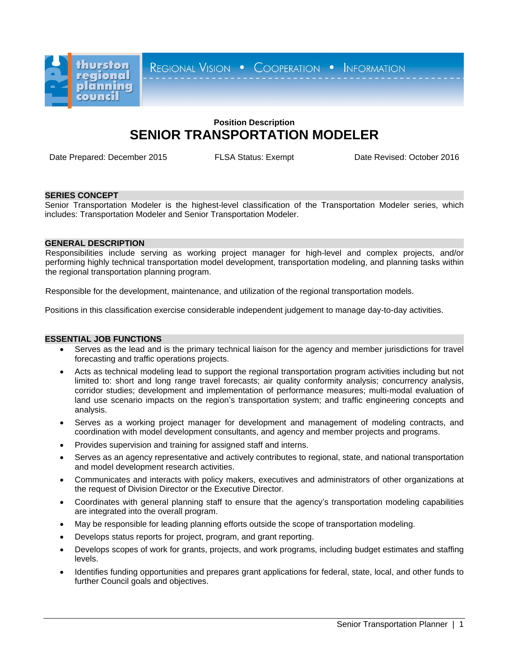

REGIONAL VISION . COOPERATION . INFORMATION

# **Position Description SENIOR TRANSPORTATION MODELER**

Date Prepared: December 2015 FLSA Status: Exempt Date Revised: October 2016

#### **SERIES CONCEPT**

Senior Transportation Modeler is the highest-level classification of the Transportation Modeler series, which includes: Transportation Modeler and Senior Transportation Modeler.

## **GENERAL DESCRIPTION**

Responsibilities include serving as working project manager for high-level and complex projects, and/or performing highly technical transportation model development, transportation modeling, and planning tasks within the regional transportation planning program.

Responsible for the development, maintenance, and utilization of the regional transportation models.

Positions in this classification exercise considerable independent judgement to manage day-to-day activities.

## **ESSENTIAL JOB FUNCTIONS**

- Serves as the lead and is the primary technical liaison for the agency and member jurisdictions for travel forecasting and traffic operations projects.
- Acts as technical modeling lead to support the regional transportation program activities including but not limited to: short and long range travel forecasts; air quality conformity analysis; concurrency analysis, corridor studies; development and implementation of performance measures; multi-modal evaluation of land use scenario impacts on the region's transportation system; and traffic engineering concepts and analysis.
- Serves as a working project manager for development and management of modeling contracts, and coordination with model development consultants, and agency and member projects and programs.
- Provides supervision and training for assigned staff and interns.
- Serves as an agency representative and actively contributes to regional, state, and national transportation and model development research activities.
- Communicates and interacts with policy makers, executives and administrators of other organizations at the request of Division Director or the Executive Director.
- Coordinates with general planning staff to ensure that the agency's transportation modeling capabilities are integrated into the overall program.
- May be responsible for leading planning efforts outside the scope of transportation modeling.
- Develops status reports for project, program, and grant reporting.
- Develops scopes of work for grants, projects, and work programs, including budget estimates and staffing levels.
- Identifies funding opportunities and prepares grant applications for federal, state, local, and other funds to further Council goals and objectives.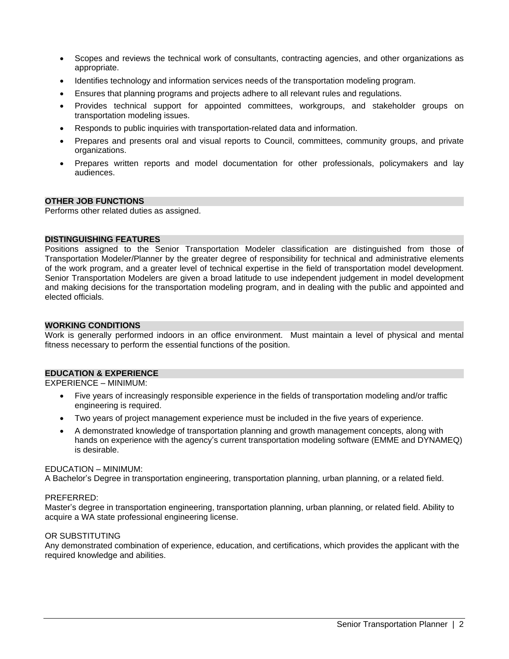- Scopes and reviews the technical work of consultants, contracting agencies, and other organizations as appropriate.
- Identifies technology and information services needs of the transportation modeling program.
- Ensures that planning programs and projects adhere to all relevant rules and regulations.
- Provides technical support for appointed committees, workgroups, and stakeholder groups on transportation modeling issues.
- Responds to public inquiries with transportation-related data and information.
- Prepares and presents oral and visual reports to Council, committees, community groups, and private organizations.
- Prepares written reports and model documentation for other professionals, policymakers and lay audiences.

# **OTHER JOB FUNCTIONS**

Performs other related duties as assigned.

#### **DISTINGUISHING FEATURES**

Positions assigned to the Senior Transportation Modeler classification are distinguished from those of Transportation Modeler/Planner by the greater degree of responsibility for technical and administrative elements of the work program, and a greater level of technical expertise in the field of transportation model development. Senior Transportation Modelers are given a broad latitude to use independent judgement in model development and making decisions for the transportation modeling program, and in dealing with the public and appointed and elected officials.

### **WORKING CONDITIONS**

Work is generally performed indoors in an office environment. Must maintain a level of physical and mental fitness necessary to perform the essential functions of the position.

#### **EDUCATION & EXPERIENCE**

EXPERIENCE – MINIMUM:

- Five years of increasingly responsible experience in the fields of transportation modeling and/or traffic engineering is required.
- Two years of project management experience must be included in the five years of experience.
- A demonstrated knowledge of transportation planning and growth management concepts, along with hands on experience with the agency's current transportation modeling software (EMME and DYNAMEQ) is desirable.

#### EDUCATION – MINIMUM:

A Bachelor's Degree in transportation engineering, transportation planning, urban planning, or a related field.

#### PREFERRED:

Master's degree in transportation engineering, transportation planning, urban planning, or related field. Ability to acquire a WA state professional engineering license.

#### OR SUBSTITUTING

Any demonstrated combination of experience, education, and certifications, which provides the applicant with the required knowledge and abilities.